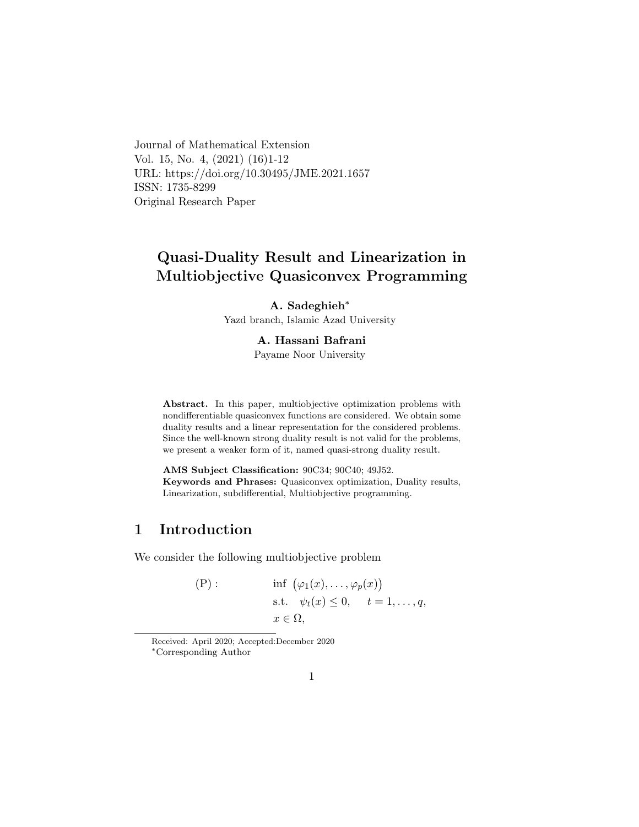Journal of Mathematical Extension Vol. 15, No. 4, (2021) (16)1-12 URL: https://doi.org/10.30495/JME.2021.1657 ISSN: 1735-8299 Original Research Paper

# Quasi-Duality Result and Linearization in Multiobjective Quasiconvex Programming

A. Sadeghieh<sup>∗</sup>

Yazd branch, Islamic Azad University

#### A. Hassani Bafran[i](#page-0-0)

Payame Noor University

Abstract. In this paper, multiobjective optimization problems with nondifferentiable quasiconvex functions are considered. We obtain some duality results and a linear representation for the considered problems. Since the well-known strong duality result is not valid for the problems, we present a weaker form of it, named quasi-strong duality result.

AMS Subject Classification: 90C34; 90C40; 49J52. Keywords and Phrases: Quasiconvex optimization, Duality results, Linearization, subdifferential, Multiobjective programming.

## 1 Introduction

We consider the following multiobjective problem

(P): 
$$
\inf_{x \in \Omega} (\varphi_1(x), \dots, \varphi_p(x))
$$
  
s.t.  $\psi_t(x) \leq 0, \quad t = 1, \dots, q,$   
 $x \in \Omega,$ 

<span id="page-0-0"></span>Received: April 2020; Accepted:December 2020 <sup>∗</sup>Corresponding Author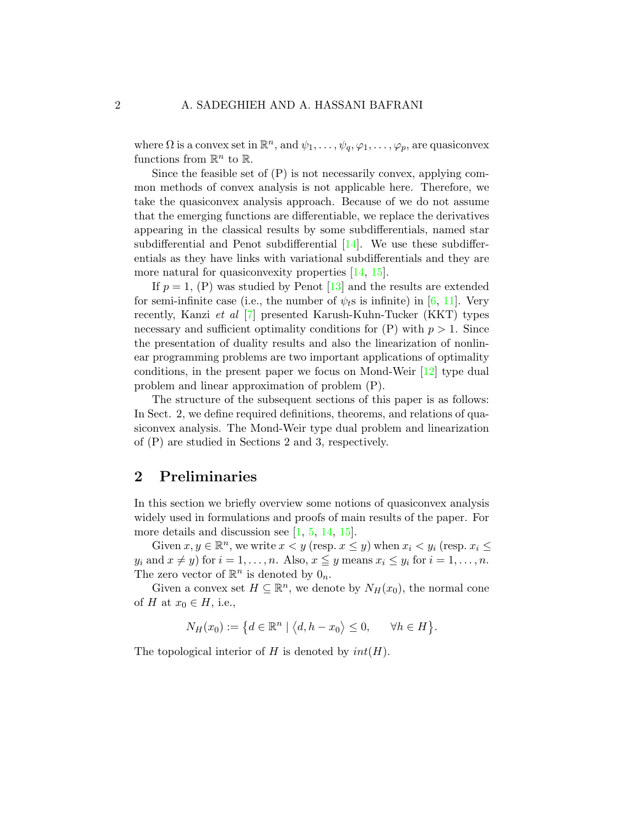where  $\Omega$  is a convex set in  $\mathbb{R}^n$ , and  $\psi_1, \ldots, \psi_q, \varphi_1, \ldots, \varphi_p$ , are quasiconvex functions from  $\mathbb{R}^n$  to  $\mathbb{R}$ .

Since the feasible set of  $(P)$  is not necessarily convex, applying common methods of convex analysis is not applicable here. Therefore, we take the quasiconvex analysis approach. Because of we do not assume that the emerging functions are differentiable, we replace the derivatives appearing in the classical results by some subdifferentials, named star subdifferential and Penot subdifferential [\[14\]](#page-11-0). We use these subdifferentials as they have links with variational subdifferentials and they are more natural for quasiconvexity properties [\[14,](#page-11-0) [15\]](#page-11-1).

If  $p = 1$ , (P) was studied by Penot [\[13\]](#page-11-2) and the results are extended for semi-infinite case (i.e., the number of  $\psi_t$ s is infinite) in [\[6,](#page-10-0) [11\]](#page-11-3). Very recently, Kanzi et al [\[7\]](#page-10-1) presented Karush-Kuhn-Tucker (KKT) types necessary and sufficient optimality conditions for  $(P)$  with  $p > 1$ . Since the presentation of duality results and also the linearization of nonlinear programming problems are two important applications of optimality conditions, in the present paper we focus on Mond-Weir [\[12\]](#page-11-4) type dual problem and linear approximation of problem (P).

The structure of the subsequent sections of this paper is as follows: In Sect. 2, we define required definitions, theorems, and relations of quasiconvex analysis. The Mond-Weir type dual problem and linearization of (P) are studied in Sections 2 and 3, respectively.

### 2 Preliminaries

In this section we briefly overview some notions of quasiconvex analysis widely used in formulations and proofs of main results of the paper. For more details and discussion see [\[1,](#page-10-2) [5,](#page-10-3) [14,](#page-11-0) [15\]](#page-11-1).

Given  $x, y \in \mathbb{R}^n$ , we write  $x < y$  (resp.  $x \leq y$ ) when  $x_i < y_i$  (resp.  $x_i \leq$  $y_i$  and  $x \neq y$ ) for  $i = 1, ..., n$ . Also,  $x \leq y$  means  $x_i \leq y_i$  for  $i = 1, ..., n$ . The zero vector of  $\mathbb{R}^n$  is denoted by  $0_n$ .

Given a convex set  $H \subseteq \mathbb{R}^n$ , we denote by  $N_H(x_0)$ , the normal cone of H at  $x_0 \in H$ , i.e.,

$$
N_H(x_0) := \left\{ d \in \mathbb{R}^n \mid \langle d, h - x_0 \rangle \le 0, \quad \forall h \in H \right\}.
$$

The topological interior of  $H$  is denoted by  $int(H)$ .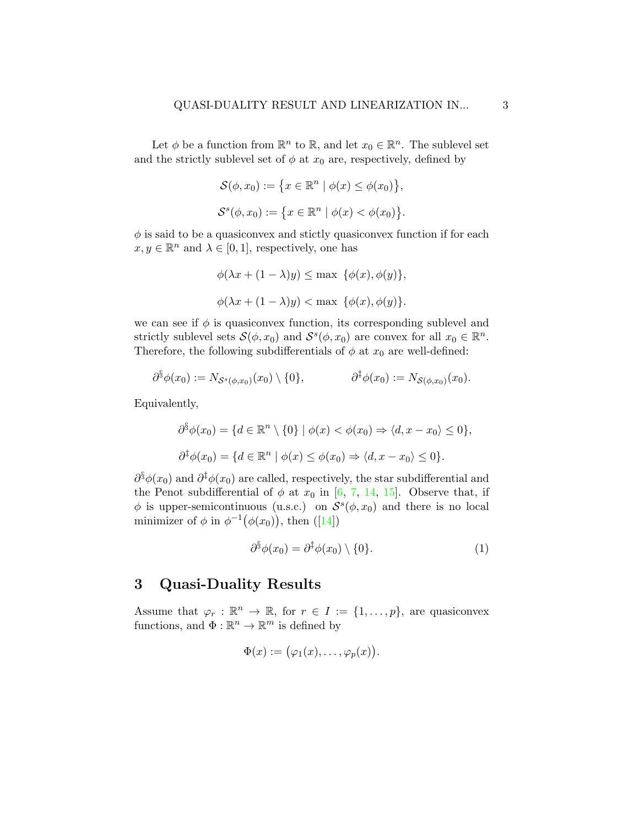Let  $\phi$  be a function from  $\mathbb{R}^n$  to  $\mathbb{R}$ , and let  $x_0 \in \mathbb{R}^n$ . The sublevel set and the strictly sublevel set of  $\phi$  at  $x_0$  are, respectively, defined by

$$
\mathcal{S}(\phi, x_0) := \{x \in \mathbb{R}^n \mid \phi(x) \le \phi(x_0)\},
$$
  

$$
\mathcal{S}^s(\phi, x_0) := \{x \in \mathbb{R}^n \mid \phi(x) < \phi(x_0)\}.
$$

 $\phi$  is said to be a quasiconvex and stictly quasiconvex function if for each  $x, y \in \mathbb{R}^n$  and  $\lambda \in [0, 1]$ , respectively, one has

$$
\phi(\lambda x + (1 - \lambda)y) \le \max \{ \phi(x), \phi(y) \},
$$
  

$$
\phi(\lambda x + (1 - \lambda)y) < \max \{ \phi(x), \phi(y) \}.
$$

we can see if  $\phi$  is quasiconvex function, its corresponding sublevel and strictly sublevel sets  $\mathcal{S}(\phi, x_0)$  and  $\mathcal{S}^s(\phi, x_0)$  are convex for all  $x_0 \in \mathbb{R}^n$ . Therefore, the following subdifferentials of  $\phi$  at  $x_0$  are well-defined:

$$
\partial^{\S} \phi(x_0) := N_{\mathcal{S}^s(\phi,x_0)}(x_0) \setminus \{0\}, \qquad \partial^{\dagger} \phi(x_0) := N_{\mathcal{S}(\phi,x_0)}(x_0).
$$

Equivalently,

$$
\partial^{\S}\phi(x_0) = \{d \in \mathbb{R}^n \setminus \{0\} \mid \phi(x) < \phi(x_0) \Rightarrow \langle d, x - x_0 \rangle \le 0\},\
$$
\n
$$
\partial^{\S}\phi(x_0) = \{d \in \mathbb{R}^n \mid \phi(x) \le \phi(x_0) \Rightarrow \langle d, x - x_0 \rangle \le 0\}.
$$

 $\partial^{\S} \phi(x_0)$  and  $\partial^{\S} \phi(x_0)$  are called, respectively, the star subdifferential and the Penot subdifferential of  $\phi$  at  $x_0$  in [\[6,](#page-10-0) [7,](#page-10-1) [14,](#page-11-0) [15\]](#page-11-1). Observe that, if  $\phi$  is upper-semicontinuous (u.s.c.) on  $\mathcal{S}^s(\phi, x_0)$  and there is no local minimizer of  $\phi$  in  $\phi^{-1}(\phi(x_0))$ , then ([\[14\]](#page-11-0))

<span id="page-2-0"></span>
$$
\partial^{\S}\phi(x_0) = \partial^{\S}\phi(x_0) \setminus \{0\}.
$$
 (1)

## 3 Quasi-Duality Results

Assume that  $\varphi_r : \mathbb{R}^n \to \mathbb{R}$ , for  $r \in I := \{1, \ldots, p\}$ , are quasiconvex functions, and  $\Phi : \mathbb{R}^n \to \mathbb{R}^m$  is defined by

$$
\Phi(x) := (\varphi_1(x), \ldots, \varphi_p(x)).
$$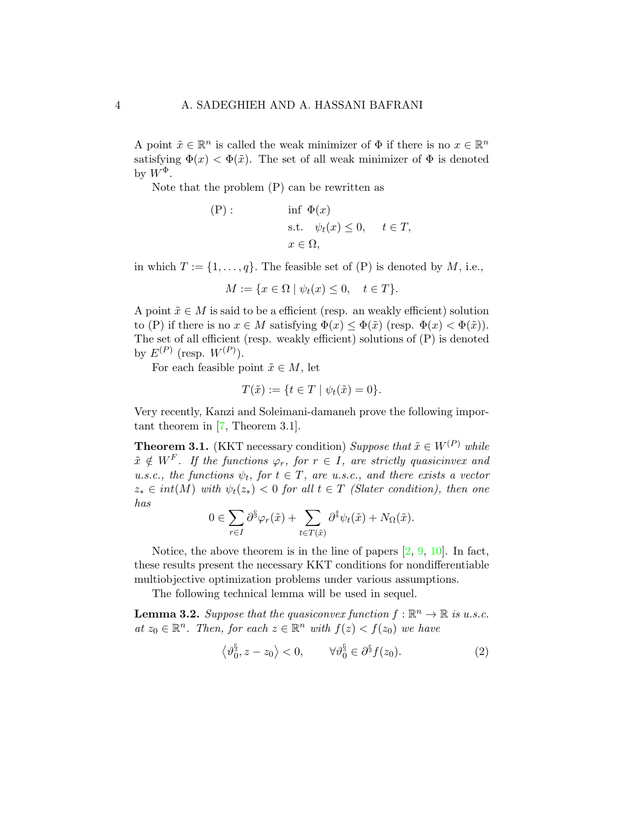A point  $\tilde{x} \in \mathbb{R}^n$  is called the weak minimizer of  $\Phi$  if there is no  $x \in \mathbb{R}^n$ satisfying  $\Phi(x) < \Phi(\tilde{x})$ . The set of all weak minimizer of  $\Phi$  is denoted by  $W^{\Phi}$ .

Note that the problem (P) can be rewritten as

(P): 
$$
\inf \Phi(x)
$$
  
s.t.  $\psi_t(x) \leq 0$ ,  $t \in T$ ,  
 $x \in \Omega$ ,

in which  $T := \{1, \ldots, q\}$ . The feasible set of (P) is denoted by M, i.e.,

$$
M := \{ x \in \Omega \mid \psi_t(x) \le 0, \quad t \in T \}
$$

A point  $\tilde{x} \in M$  is said to be a efficient (resp. an weakly efficient) solution to (P) if there is no  $x \in M$  satisfying  $\Phi(x) \leq \Phi(\tilde{x})$  (resp.  $\Phi(x) < \Phi(\tilde{x})$ ). The set of all efficient (resp. weakly efficient) solutions of (P) is denoted by  $E^{(P)}$  (resp.  $W^{(P)}$ ).

For each feasible point  $\tilde{x} \in M$ , let

$$
T(\tilde{x}) := \{ t \in T \mid \psi_t(\tilde{x}) = 0 \}.
$$

Very recently, Kanzi and Soleimani-damaneh prove the following important theorem in [\[7,](#page-10-1) Theorem 3.1].

<span id="page-3-2"></span>**Theorem 3.1.** (KKT necessary condition) Suppose that  $\tilde{x} \in W^{(P)}$  while  $\tilde{x} \notin W^F$ . If the functions  $\varphi_r$ , for  $r \in I$ , are strictly quasicinvex and u.s.c., the functions  $\psi_t$ , for  $t \in T$ , are u.s.c., and there exists a vector  $z_* \in int(M)$  with  $\psi_t(z_*) < 0$  for all  $t \in T$  (Slater condition), then one has

$$
0 \in \sum_{r \in I} \partial^{\S} \varphi_r(\tilde{x}) + \sum_{t \in T(\tilde{x})} \partial^{\S} \psi_t(\tilde{x}) + N_{\Omega}(\tilde{x}).
$$

Notice, the above theorem is in the line of papers  $[2, 9, 10]$  $[2, 9, 10]$  $[2, 9, 10]$  $[2, 9, 10]$  $[2, 9, 10]$ . In fact, these results present the necessary KKT conditions for nondifferentiable multiobjective optimization problems under various assumptions.

The following technical lemma will be used in sequel.

<span id="page-3-1"></span>**Lemma 3.2.** Suppose that the quasiconvex function  $f : \mathbb{R}^n \to \mathbb{R}$  is u.s.c. at  $z_0 \in \mathbb{R}^n$ . Then, for each  $z \in \mathbb{R}^n$  with  $f(z) < f(z_0)$  we have

<span id="page-3-0"></span>
$$
\langle \vartheta_0^\S, z - z_0 \rangle < 0, \qquad \forall \vartheta_0^\S \in \partial^\S f(z_0). \tag{2}
$$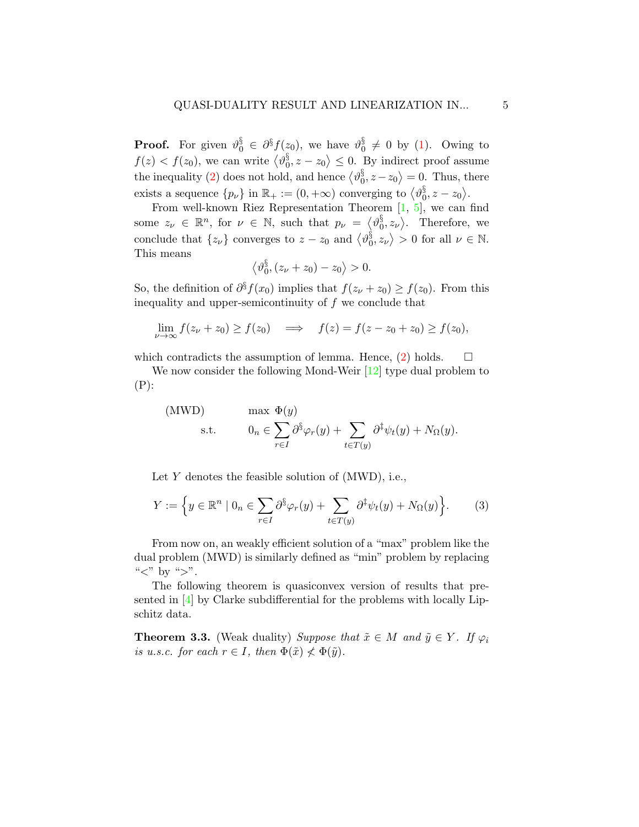**Proof.** For given  $\vartheta_0^{\S} \in \partial^{\S} f(z_0)$ , we have  $\vartheta_0^{\S}$  $_0^3 \neq 0$  by [\(1\)](#page-2-0). Owing to  $f(z) < f(z_0)$ , we can write  $\langle \vartheta_0^{\S} \rangle$  $\{0, z - z_0\} \leq 0$ . By indirect proof assume the inequality [\(2\)](#page-3-0) does not hold, and hence  $\langle \vartheta_0^{\S} \rangle$  $\langle 0^8, z - z_0 \rangle = 0$ . Thus, there exists a sequence  $\{p_{\nu}\}\$ in  $\mathbb{R}_{+}:=(0,+\infty)$  converging to  $\langle v_{0}^{\S} \rangle$  $_{0}^{\$},z-z_{0}\big\rangle .$ 

From well-known Riez Representation Theorem  $[1, 5]$  $[1, 5]$  $[1, 5]$ , we can find some  $z_{\nu} \in \mathbb{R}^n$ , for  $\nu \in \mathbb{N}$ , such that  $p_{\nu} = \langle \vartheta_0^{\S} \rangle$  $\langle \delta_0, z_{\nu} \rangle$ . Therefore, we conclude that  $\{z_{\nu}\}\)$  converges to  $z-z_0$  and  $\langle v_0^{\S}\rangle$  $\{0, z_{\nu}\} > 0$  for all  $\nu \in \mathbb{N}$ . This means

$$
\left\langle \vartheta_0^\S, (z_\nu + z_0) - z_0 \right\rangle > 0.
$$

So, the definition of  $\partial^{\S} f(x_0)$  implies that  $f(z_{\nu} + z_0) \ge f(z_0)$ . From this inequality and upper-semicontinuity of  $f$  we conclude that

$$
\lim_{\nu \to \infty} f(z_{\nu} + z_0) \ge f(z_0) \quad \Longrightarrow \quad f(z) = f(z - z_0 + z_0) \ge f(z_0),
$$

which contradicts the assumption of lemma. Hence, [\(2\)](#page-3-0) holds.  $\square$ 

We now consider the following Mond-Weir [\[12\]](#page-11-4) type dual problem to  $(P)$ :

(MWD) 
$$
\text{max } \Phi(y) \n\text{s.t.} \qquad 0_n \in \sum_{r \in I} \partial^{\S} \varphi_r(y) + \sum_{t \in T(y)} \partial^{\S} \psi_t(y) + N_{\Omega}(y).
$$

Let  $Y$  denotes the feasible solution of  $(MWD)$ , i.e.,

<span id="page-4-0"></span>
$$
Y := \left\{ y \in \mathbb{R}^n \mid 0_n \in \sum_{r \in I} \partial^{\S} \varphi_r(y) + \sum_{t \in T(y)} \partial^{\S} \psi_t(y) + N_{\Omega}(y) \right\}.
$$
 (3)

From now on, an weakly efficient solution of a "max" problem like the dual problem (MWD) is similarly defined as "min" problem by replacing " $lt$ " by " $gt$ ".

The following theorem is quasiconvex version of results that presented in [\[4\]](#page-10-7) by Clarke subdifferential for the problems with locally Lipschitz data.

<span id="page-4-1"></span>**Theorem 3.3.** (Weak duality) Suppose that  $\tilde{x} \in M$  and  $\tilde{y} \in Y$ . If  $\varphi_i$ is u.s.c. for each  $r \in I$ , then  $\Phi(\tilde{x}) \nless \Phi(\tilde{y})$ .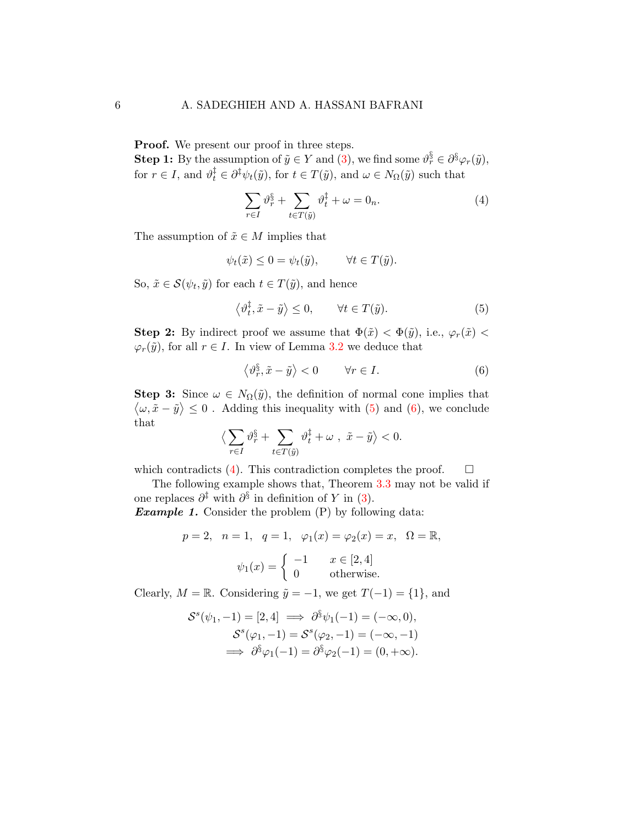Proof. We present our proof in three steps.

**Step 1:** By the assumption of  $\tilde{y} \in Y$  and [\(3\)](#page-4-0), we find some  $\vartheta_r^{\S} \in \partial^{\S} \varphi_r(\tilde{y})$ , for  $r \in I$ , and  $\vartheta_t^{\ddagger} \in \partial^{\ddagger} \psi_t(\tilde{y})$ , for  $t \in T(\tilde{y})$ , and  $\omega \in N_{\Omega}(\tilde{y})$  such that

<span id="page-5-2"></span>
$$
\sum_{r \in I} \vartheta_r^{\S} + \sum_{t \in T(\tilde{y})} \vartheta_t^{\dagger} + \omega = 0_n. \tag{4}
$$

The assumption of  $\tilde{x} \in M$  implies that

$$
\psi_t(\tilde{x}) \le 0 = \psi_t(\tilde{y}), \qquad \forall t \in T(\tilde{y}).
$$

So,  $\tilde{x} \in \mathcal{S}(\psi_t, \tilde{y})$  for each  $t \in T(\tilde{y})$ , and hence

<span id="page-5-0"></span>
$$
\left\langle \vartheta_t^{\ddagger}, \tilde{x} - \tilde{y} \right\rangle \le 0, \qquad \forall t \in T(\tilde{y}). \tag{5}
$$

**Step 2:** By indirect proof we assume that  $\Phi(\tilde{x}) < \Phi(\tilde{y})$ , i.e.,  $\varphi_r(\tilde{x}) <$  $\varphi_r(\tilde{y})$ , for all  $r \in I$ . In view of Lemma [3.2](#page-3-1) we deduce that

<span id="page-5-1"></span>
$$
\left\langle \vartheta_r^{\S}, \tilde{x} - \tilde{y} \right\rangle < 0 \qquad \forall r \in I. \tag{6}
$$

**Step 3:** Since  $\omega \in N_{\Omega}(\tilde{y})$ , the definition of normal cone implies that  $\langle \omega, \tilde{x} - \tilde{y} \rangle \leq 0$ . Adding this inequality with [\(5\)](#page-5-0) and [\(6\)](#page-5-1), we conclude that

$$
\big\langle \sum_{r\in I}\vartheta_r^\S + \sum_{t\in T(\tilde y)}\vartheta_t^\ddagger + \omega\ ,\ \tilde x-\tilde y\big\rangle <0.
$$

which contradicts [\(4\)](#page-5-2). This contradiction completes the proof.  $\Box$ 

The following example shows that, Theorem [3.3](#page-4-1) may not be valid if one replaces  $\partial^{\ddagger}$  with  $\partial^{\S}$  in definition of Y in [\(3\)](#page-4-0).

**Example 1.** Consider the problem  $(P)$  by following data:

$$
p = 2, \quad n = 1, \quad q = 1, \quad \varphi_1(x) = \varphi_2(x) = x, \quad \Omega = \mathbb{R},
$$

$$
\psi_1(x) = \begin{cases} -1 & x \in [2, 4] \\ 0 & \text{otherwise.} \end{cases}
$$

Clearly,  $M = \mathbb{R}$ . Considering  $\tilde{y} = -1$ , we get  $T(-1) = \{1\}$ , and

$$
\mathcal{S}^{s}(\psi_1, -1) = [2, 4] \implies \partial^{\S}\psi_1(-1) = (-\infty, 0),
$$
  

$$
\mathcal{S}^{s}(\varphi_1, -1) = \mathcal{S}^{s}(\varphi_2, -1) = (-\infty, -1)
$$
  

$$
\implies \partial^{\S}\varphi_1(-1) = \partial^{\S}\varphi_2(-1) = (0, +\infty).
$$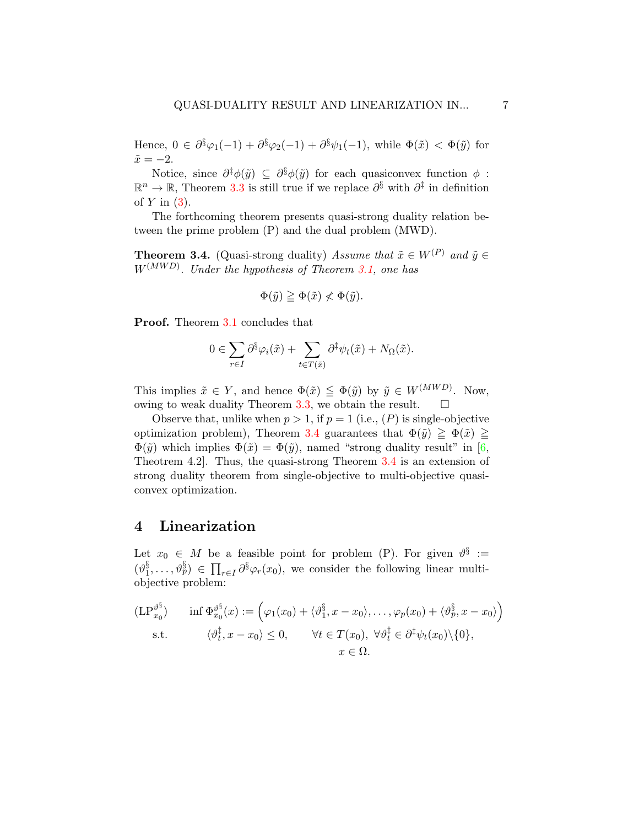Hence,  $0 \in \partial^{\S} \varphi_1(-1) + \partial^{\S} \varphi_2(-1) + \partial^{\S} \psi_1(-1)$ , while  $\Phi(\tilde{x}) < \Phi(\tilde{y})$  for  $\tilde{x} = -2.$ 

Notice, since  $\partial^{\ddagger} \phi(\tilde{y}) \subseteq \partial^{\S} \phi(\tilde{y})$  for each quasiconvex function  $\phi$ :  $\mathbb{R}^n \to \mathbb{R}$ , Theorem [3.3](#page-4-1) is still true if we replace  $\partial^{\S}$  with  $\partial^{\ddagger}$  in definition of  $Y$  in  $(3)$ .

The forthcoming theorem presents quasi-strong duality relation between the prime problem (P) and the dual problem (MWD).

<span id="page-6-0"></span>**Theorem 3.4.** (Quasi-strong duality) Assume that  $\tilde{x} \in W^{(P)}$  and  $\tilde{y} \in$  $W^{(MWD)}$ . Under the hypothesis of Theorem [3.1,](#page-3-2) one has

$$
\Phi(\tilde{y}) \ge \Phi(\tilde{x}) \nless \Phi(\tilde{y}).
$$

Proof. Theorem [3.1](#page-3-2) concludes that

$$
0 \in \sum_{r \in I} \partial^{\S} \varphi_i(\tilde{x}) + \sum_{t \in T(\tilde{x})} \partial^{\dagger} \psi_t(\tilde{x}) + N_{\Omega}(\tilde{x}).
$$

This implies  $\tilde{x} \in Y$ , and hence  $\Phi(\tilde{x}) \leq \Phi(\tilde{y})$  by  $\tilde{y} \in W^{(MWD)}$ . Now, owing to weak duality Theorem [3.3,](#page-4-1) we obtain the result.  $\square$ 

Observe that, unlike when  $p > 1$ , if  $p = 1$  (i.e.,  $(P)$ ) is single-objective optimization problem), Theorem [3.4](#page-6-0) guarantees that  $\Phi(\tilde{y}) \geq \Phi(\tilde{x}) \geq$  $\Phi(\tilde{y})$  which implies  $\Phi(\tilde{x}) = \Phi(\tilde{y})$ , named "strong duality result" in [\[6,](#page-10-0) Theotrem 4.2]. Thus, the quasi-strong Theorem [3.4](#page-6-0) is an extension of strong duality theorem from single-objective to multi-objective quasiconvex optimization.

#### 4 Linearization

Let  $x_0 \in M$  be a feasible point for problem (P). For given  $\vartheta^{\S} :=$  $(v_1^{\S}$  $\{S_1^{\S}, \ldots, \vartheta_p^{\S}\}\in \prod_{r\in I} \partial^{\S}\varphi_r(x_0)$ , we consider the following linear multiobjective problem:

$$
\begin{aligned} (\mathrm{LP}_{x_0}^{\vartheta^{\S}}) \qquad & \inf \Phi_{x_0}^{\vartheta^{\S}}(x) := \left( \varphi_1(x_0) + \langle \vartheta_1^{\S}, x - x_0 \rangle, \dots, \varphi_p(x_0) + \langle \vartheta_p^{\S}, x - x_0 \rangle \right) \\ & \text{s.t.} \qquad \langle \vartheta_t^{\dagger}, x - x_0 \rangle \leq 0, \qquad \forall t \in T(x_0), \ \forall \vartheta_t^{\dagger} \in \partial^{\dagger} \psi_t(x_0) \setminus \{0\}, \\ & x \in \Omega. \end{aligned}
$$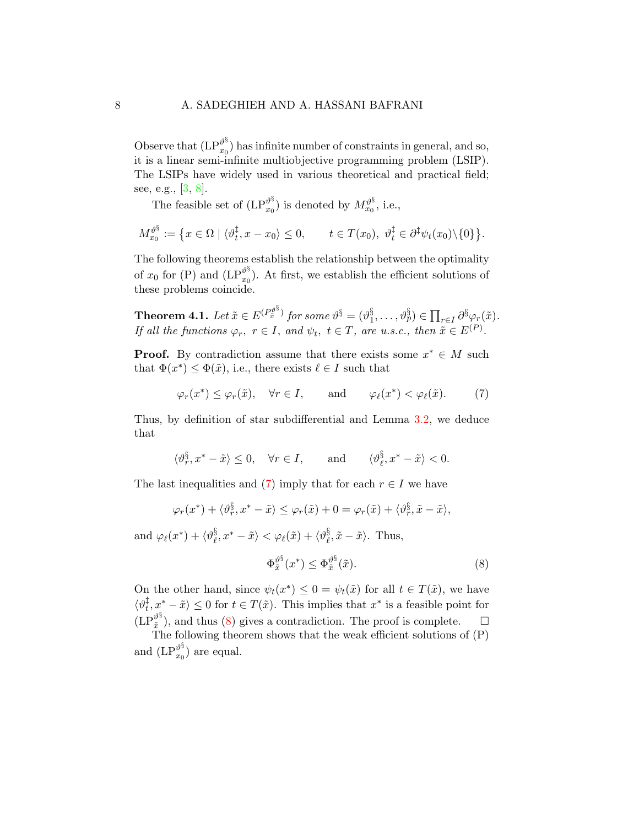Observe that  $\left(\operatorname{LP}_{x_0}^{\vartheta^{\S}}\right)$  $\binom{v}{x_0}$  has infinite number of constraints in general, and so, it is a linear semi-infinite multiobjective programming problem (LSIP). The LSIPs have widely used in various theoretical and practical field; see, e.g., [\[3,](#page-10-8) [8\]](#page-10-9).

The feasible set of  $(LP_{r_0}^{\vartheta^{\S}})$  $\binom{\vartheta^{\S}}{x_0}$  is denoted by  $M_{x_0}^{\vartheta^{\S}},$  i.e.,

$$
M_{x_0}^{\vartheta^{\S}} := \left\{ x \in \Omega \mid \langle \vartheta_t^{\dagger}, x - x_0 \rangle \leq 0, \qquad t \in T(x_0), \ \vartheta_t^{\dagger} \in \partial^{\dagger} \psi_t(x_0) \setminus \{0\} \right\}.
$$

The following theorems establish the relationship between the optimality of  $x_0$  for (P) and  $\left(\text{LP}\right)^{\vartheta^{\S}}_{x_0}$  $\binom{v^3}{x_0}$ . At first, we establish the efficient solutions of these problems coincide.

<span id="page-7-2"></span>Theorem 4.1. Let  $\tilde{x}\in E^{(P_{\tilde{x}}^{\vartheta^\S}}$  $(x^{\mathfrak{d}^3})$  for some  $\vartheta^{\S}=(\vartheta_1^{\S})$  $S_1^{\S}, \ldots, \vartheta_p^{\S} \in \prod_{r \in I} \partial^{\S} \varphi_r(\tilde{x}).$ If all the functions  $\varphi_r$ ,  $r \in I$ , and  $\psi_t$ ,  $t \in T$ , are u.s.c., then  $\tilde{x} \in E^{(P)}$ .

**Proof.** By contradiction assume that there exists some  $x^* \in M$  such that  $\Phi(x^*) \leq \Phi(\tilde{x})$ , i.e., there exists  $\ell \in I$  such that

<span id="page-7-0"></span>
$$
\varphi_r(x^*) \leq \varphi_r(\tilde{x}), \quad \forall r \in I, \quad \text{and} \quad \varphi_\ell(x^*) < \varphi_\ell(\tilde{x}).
$$
 (7)

Thus, by definition of star subdifferential and Lemma [3.2,](#page-3-1) we deduce that

$$
\langle \vartheta_r^\S{x,x^*-\tilde x\rangle \leq 0, \quad \forall r\in I, \qquad \text{and} \qquad \langle \vartheta_\ell^\S{x^*-\tilde x\rangle < 0.
$$

The last inequalities and [\(7\)](#page-7-0) imply that for each  $r \in I$  we have

$$
\varphi_r(x^*) + \langle \vartheta_r^{\S}, x^* - \tilde{x} \rangle \leq \varphi_r(\tilde{x}) + 0 = \varphi_r(\tilde{x}) + \langle \vartheta_r^{\S}, \tilde{x} - \tilde{x} \rangle,
$$

and  $\varphi_{\ell}(x^*) + \langle \vartheta_{\ell}^{\S} \rangle$  $\{\hat{x}, x^* - \tilde{x}\} < \varphi_\ell(\tilde{x}) + \langle \vartheta^{\S}_\ell \rangle$  $\frac{3}{\ell}, \tilde{x} - \tilde{x}$ . Thus,

<span id="page-7-1"></span>
$$
\Phi_{\tilde{x}}^{\vartheta^{\S}}(x^*) \le \Phi_{\tilde{x}}^{\vartheta^{\S}}(\tilde{x}).\tag{8}
$$

On the other hand, since  $\psi_t(x^*) \leq 0 = \psi_t(\tilde{x})$  for all  $t \in T(\tilde{x})$ , we have  $\langle v_t^{\ddagger}$  $\langle \frac{1}{t}, x^* - \tilde{x} \rangle \leq 0$  for  $t \in T(\tilde{x})$ . This implies that  $x^*$  is a feasible point for  $(\operatorname{LP}^{\vartheta^{\S}}_{\tilde{r}}$  $\hat{x}^{\theta^3}$ , and thus [\(8\)](#page-7-1) gives a contradiction. The proof is complete.  $\Box$ 

The following theorem shows that the weak efficient solutions of  $(P)$ and  $(LP_{x_0}^{\vartheta^{\S}})$  $\binom{v^3}{x_0}$  are equal.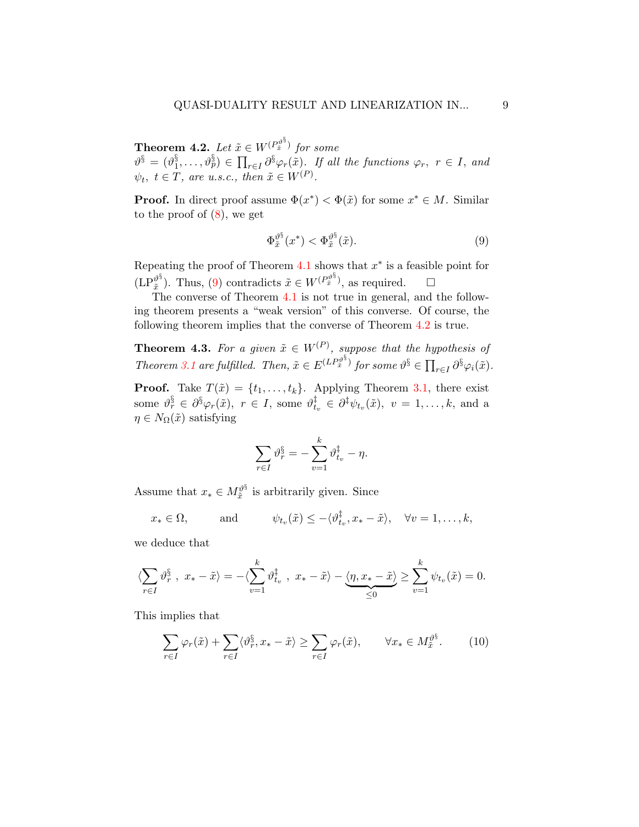<span id="page-8-1"></span>Theorem 4.2. Let  $\tilde{x}\in W^{(P^{\vartheta^{\S}}_{\tilde{x}})}$  $\hat{x}^{v^{\vartheta^{\mathrm{s}}}}$  for some  $\vartheta^\S = (\vartheta_1^\S$  $\{S_1^{\S}, \ldots, \vartheta_p^{\S}\} \in \prod_{r \in I} \partial^{\S} \varphi_r(\tilde{x})$ . If all the functions  $\varphi_r$ ,  $r \in I$ , and  $\psi_t, t \in T$ , are u.s.c., then  $\tilde{x} \in W^{(P)}$ .

**Proof.** In direct proof assume  $\Phi(x^*) < \Phi(\tilde{x})$  for some  $x^* \in M$ . Similar to the proof of [\(8\)](#page-7-1), we get

<span id="page-8-0"></span>
$$
\Phi_{\tilde{x}}^{\vartheta^{\S}}(x^*) < \Phi_{\tilde{x}}^{\vartheta^{\S}}(\tilde{x}). \tag{9}
$$

Repeating the proof of Theorem  $4.1$  shows that  $x^*$  is a feasible point for  $(\text{LP}^{\vartheta^{\S}}_{\tilde{r}}$  $\hat{x}^{\theta}$ ). Thus, [\(9\)](#page-8-0) contradicts  $\tilde{x} \in W^{(P_{\tilde{x}}^{\theta^{\xi}})}$  $(\vec{x}^3)$ , as required.  $\square$ 

The converse of Theorem [4.1](#page-7-2) is not true in general, and the following theorem presents a "weak version" of this converse. Of course, the following theorem implies that the converse of Theorem [4.2](#page-8-1) is true.

**Theorem 4.3.** For a given  $\tilde{x} \in W^{(P)}$ , suppose that the hypothesis of Theorem [3.1](#page-3-2) are fulfilled. Then,  $\tilde{x} \in E^{(LP_{\tilde{x}}^{\theta^{\S}})}$  $\widehat{x}^{\widehat{y}^3}$  for some  $\vartheta^{\S} \in \prod_{r \in I} \partial^{\S} \varphi_i(\tilde{x})$ .

**Proof.** Take  $T(\tilde{x}) = \{t_1, \ldots, t_k\}$ . Applying Theorem [3.1,](#page-3-2) there exist some  $\vartheta_r^\S \in \partial^\S \varphi_r(\tilde{x}),\,\,r \,\in\, I,$  some  $\vartheta_t^\ddagger$  $t_v^{\ddagger} \in \partial^{\ddagger} \psi_{t_v}(\tilde{x}), \ v = 1, \ldots, k, \text{ and a}$  $\eta \in N_{\Omega}(\tilde{x})$  satisfying

$$
\sum_{r \in I} \vartheta_r^{\S} = -\sum_{v=1}^k \vartheta_{t_v}^{\dagger} - \eta.
$$

Assume that  $x_* \in M_{\tilde{x}}^{\vartheta^{\S}}$  $\frac{\partial^3}{\partial x^3}$  is arbitrarily given. Since

$$
x_* \in \Omega
$$
, and  $\psi_{t_v}(\tilde{x}) \le -\langle \vartheta_{t_v}^{\dagger}, x_* - \tilde{x} \rangle$ ,  $\forall v = 1, ..., k$ ,

we deduce that

$$
\langle \sum_{r \in I} \vartheta_r^\S \; , \; x_* - \tilde{x} \rangle = - \langle \sum_{v=1}^k \vartheta_{t_v}^\ddagger \; , \; x_* - \tilde{x} \rangle - \underbrace{\langle \eta, x_* - \tilde{x} \rangle}_{\leq 0} \geq \sum_{v=1}^k \psi_{t_v}(\tilde{x}) = 0.
$$

This implies that

<span id="page-8-2"></span>
$$
\sum_{r \in I} \varphi_r(\tilde{x}) + \sum_{r \in I} \langle \vartheta_r^{\S}, x_* - \tilde{x} \rangle \ge \sum_{r \in I} \varphi_r(\tilde{x}), \qquad \forall x_* \in M_{\tilde{x}}^{\vartheta^{\S}}.
$$
 (10)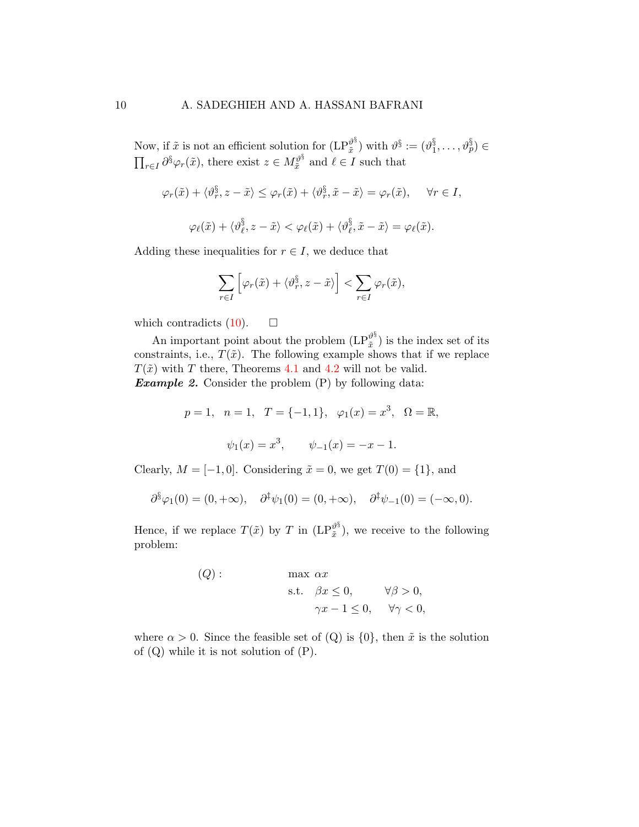Now, if  $\tilde{x}$  is not an efficient solution for  $(LP_{\tilde{x}}^{\vartheta^{\S}})$  $\hat{\mathbb{r}}^{\vartheta^\S}$ ) with  $\vartheta^\S := (\vartheta^\S_1)$  $\S_1^{\S}, \ldots, \vartheta^{\S_p}_p) \in$  $\prod_{r\in I} \partial^{\S} \varphi_r(\tilde{x})$ , there exist  $z \in M_{\tilde{x}}^{\vartheta^{\S}}$  $\chi^{\mathcal{V}^3}_{\tilde{x}}$  and  $\ell \in I$  such that

$$
\varphi_r(\tilde{x}) + \langle \vartheta_r^{\S}, z - \tilde{x} \rangle \le \varphi_r(\tilde{x}) + \langle \vartheta_r^{\S}, \tilde{x} - \tilde{x} \rangle = \varphi_r(\tilde{x}), \quad \forall r \in I,
$$
  

$$
\varphi_\ell(\tilde{x}) + \langle \vartheta_\ell^{\S}, z - \tilde{x} \rangle < \varphi_\ell(\tilde{x}) + \langle \vartheta_\ell^{\S}, \tilde{x} - \tilde{x} \rangle = \varphi_\ell(\tilde{x}).
$$

Adding these inequalities for  $r \in I$ , we deduce that

$$
\sum_{r\in I}\left[\varphi_r(\tilde{x})+\langle\vartheta_r^{\S},z-\tilde{x}\rangle\right]<\sum_{r\in I}\varphi_r(\tilde{x}),
$$

which contradicts  $(10)$ .  $\Box$ 

An important point about the problem  $(LP_{\tilde{x}}^{\vartheta^{\S}})$  $\binom{v}{\tilde{x}}$  is the index set of its constraints, i.e.,  $T(\tilde{x})$ . The following example shows that if we replace  $T(\tilde{x})$  with T there, Theorems [4.1](#page-7-2) and [4.2](#page-8-1) will not be valid. **Example 2.** Consider the problem  $(P)$  by following data:

$$
p = 1
$$
,  $n = 1$ ,  $T = \{-1, 1\}$ ,  $\varphi_1(x) = x^3$ ,  $\Omega = \mathbb{R}$ ,  
 $\psi_1(x) = x^3$ ,  $\psi_{-1}(x) = -x - 1$ .

Clearly,  $M = [-1, 0]$ . Considering  $\tilde{x} = 0$ , we get  $T(0) = \{1\}$ , and

$$
\partial^{\xi} \varphi_1(0) = (0, +\infty), \quad \partial^{\xi} \psi_1(0) = (0, +\infty), \quad \partial^{\xi} \psi_{-1}(0) = (-\infty, 0).
$$

Hence, if we replace  $T(\tilde{x})$  by T in  $(LP_{\tilde{x}}^{\vartheta^{\S}})$  $\binom{v^3}{\tilde{x}}$ , we receive to the following problem:

(Q): 
$$
\max \alpha x
$$
  
s.t.  $\beta x \le 0$ ,  $\forall \beta > 0$ ,  
 $\gamma x - 1 \le 0$ ,  $\forall \gamma < 0$ ,

where  $\alpha > 0$ . Since the feasible set of (Q) is  $\{0\}$ , then  $\tilde{x}$  is the solution of  $(Q)$  while it is not solution of  $(P)$ .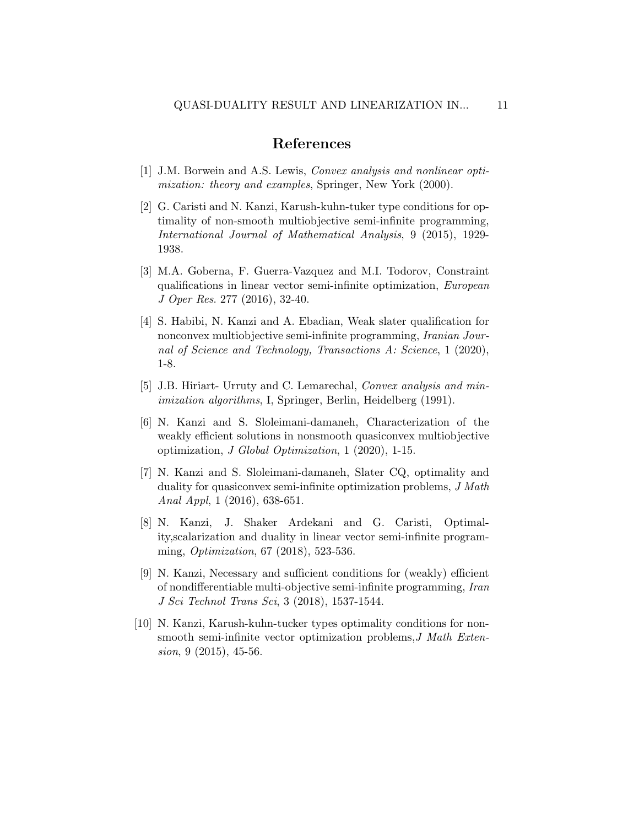### References

- <span id="page-10-2"></span>[1] J.M. Borwein and A.S. Lewis, Convex analysis and nonlinear optimization: theory and examples, Springer, New York (2000).
- <span id="page-10-4"></span>[2] G. Caristi and N. Kanzi, Karush-kuhn-tuker type conditions for optimality of non-smooth multiobjective semi-infinite programming, International Journal of Mathematical Analysis, 9 (2015), 1929- 1938.
- <span id="page-10-8"></span>[3] M.A. Goberna, F. Guerra-Vazquez and M.I. Todorov, Constraint qualifications in linear vector semi-infinite optimization, European J Oper Res. 277 (2016), 32-40.
- <span id="page-10-7"></span>[4] S. Habibi, N. Kanzi and A. Ebadian, Weak slater qualification for nonconvex multiobjective semi-infinite programming, *Iranian Jour*nal of Science and Technology, Transactions A: Science, 1 (2020), 1-8.
- <span id="page-10-3"></span>[5] J.B. Hiriart- Urruty and C. Lemarechal, Convex analysis and minimization algorithms, I, Springer, Berlin, Heidelberg (1991).
- <span id="page-10-0"></span>[6] N. Kanzi and S. Sloleimani-damaneh, Characterization of the weakly efficient solutions in nonsmooth quasiconvex multiobjective optimization, J Global Optimization, 1 (2020), 1-15.
- <span id="page-10-1"></span>[7] N. Kanzi and S. Sloleimani-damaneh, Slater CQ, optimality and duality for quasiconvex semi-infinite optimization problems, J Math Anal Appl, 1 (2016), 638-651.
- <span id="page-10-9"></span>[8] N. Kanzi, J. Shaker Ardekani and G. Caristi, Optimality,scalarization and duality in linear vector semi-infinite programming, Optimization, 67 (2018), 523-536.
- <span id="page-10-5"></span>[9] N. Kanzi, Necessary and sufficient conditions for (weakly) efficient of nondifferentiable multi-objective semi-infinite programming, Iran J Sci Technol Trans Sci, 3 (2018), 1537-1544.
- <span id="page-10-6"></span>[10] N. Kanzi, Karush-kuhn-tucker types optimality conditions for nonsmooth semi-infinite vector optimization problems, J Math Extension, 9 (2015), 45-56.